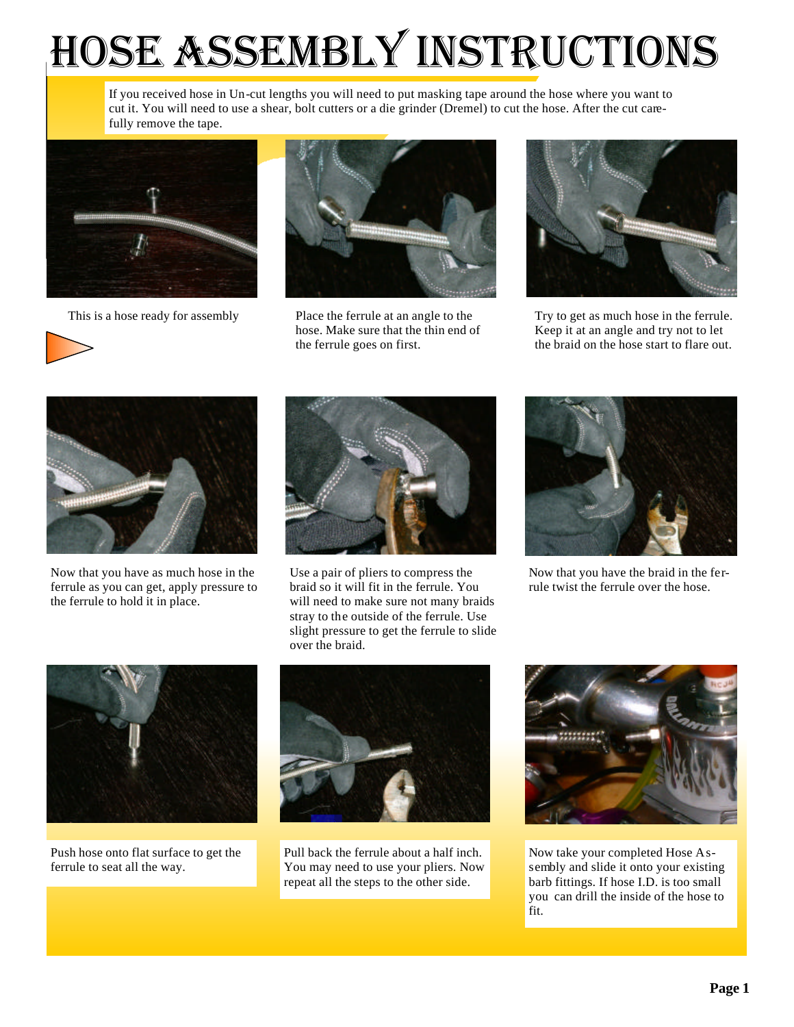## *Hose Assembly Instructions*

If you received hose in Un-cut lengths you will need to put masking tape around the hose where you want to cut it. You will need to use a shear, bolt cutters or a die grinder (Dremel) to cut the hose. After the cut carefully remove the tape.





This is a hose ready for assembly Place the ferrule at an angle to the hose. Make sure that the thin end of the ferrule goes on first.



Try to get as much hose in the ferrule. Keep it at an angle and try not to let the braid on the hose start to flare out.



Now that you have as much hose in the ferrule as you can get, apply pressure to the ferrule to hold it in place.



Use a pair of pliers to compress the braid so it will fit in the ferrule. You will need to make sure not many braids stray to the outside of the ferrule. Use slight pressure to get the ferrule to slide over the braid.



Now that you have the braid in the ferrule twist the ferrule over the hose.



Push hose onto flat surface to get the ferrule to seat all the way.



Pull back the ferrule about a half inch. You may need to use your pliers. Now repeat all the steps to the other side.



Now take your completed Hose Assembly and slide it onto your existing barb fittings. If hose I.D. is too small you can drill the inside of the hose to fit.